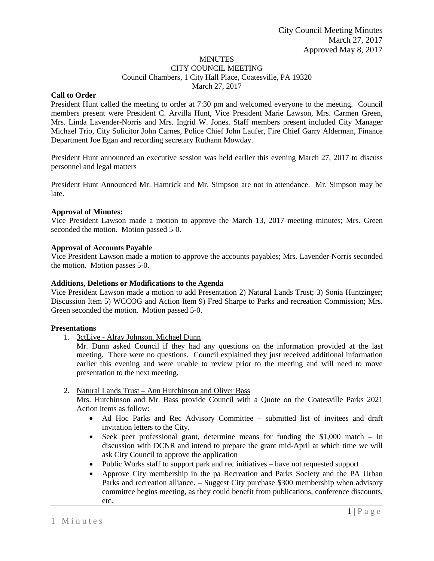# MINUTES

CITY COUNCIL MEETING Council Chambers, 1 City Hall Place, Coatesville, PA 19320 March 27, 2017

## **Call to Order**

President Hunt called the meeting to order at 7:30 pm and welcomed everyone to the meeting. Council members present were President C. Arvilla Hunt, Vice President Marie Lawson, Mrs. Carmen Green, Mrs. Linda Lavender-Norris and Mrs. Ingrid W. Jones. Staff members present included City Manager Michael Trio, City Solicitor John Carnes, Police Chief John Laufer, Fire Chief Garry Alderman, Finance Department Joe Egan and recording secretary Ruthann Mowday.

President Hunt announced an executive session was held earlier this evening March 27, 2017 to discuss personnel and legal matters

President Hunt Announced Mr. Hamrick and Mr. Simpson are not in attendance. Mr. Simpson may be late.

## **Approval of Minutes:**

Vice President Lawson made a motion to approve the March 13, 2017 meeting minutes; Mrs. Green seconded the motion. Motion passed 5-0.

## **Approval of Accounts Payable**

Vice President Lawson made a motion to approve the accounts payables; Mrs. Lavender-Norris seconded the motion. Motion passes 5-0.

## **Additions, Deletions or Modifications to the Agenda**

Vice President Lawson made a motion to add Presentation 2) Natural Lands Trust; 3) Sonia Huntzinger; Discussion Item 5) WCCOG and Action Item 9) Fred Sharpe to Parks and recreation Commission; Mrs. Green seconded the motion. Motion passed 5-0.

#### **Presentations**

1. 3ctLive - Alray Johnson, Michael Dunn

Mr. Dunn asked Council if they had any questions on the information provided at the last meeting. There were no questions. Council explained they just received additional information earlier this evening and were unable to review prior to the meeting and will need to move presentation to the next meeting.

#### 2. Natural Lands Trust – Ann Hutchinson and Oliver Bass

Mrs. Hutchinson and Mr. Bass provide Council with a Quote on the Coatesville Parks 2021 Action items as follow:

- Ad Hoc Parks and Rec Advisory Committee submitted list of invitees and draft invitation letters to the City.
- Seek peer professional grant, determine means for funding the \$1,000 match in discussion with DCNR and intend to prepare the grant mid-April at which time we will ask City Council to approve the application
- Public Works staff to support park and rec initiatives have not requested support
- Approve City membership in the pa Recreation and Parks Society and the PA Urban Parks and recreation alliance. – Suggest City purchase \$300 membership when advisory committee begins meeting, as they could benefit from publications, conference discounts, etc.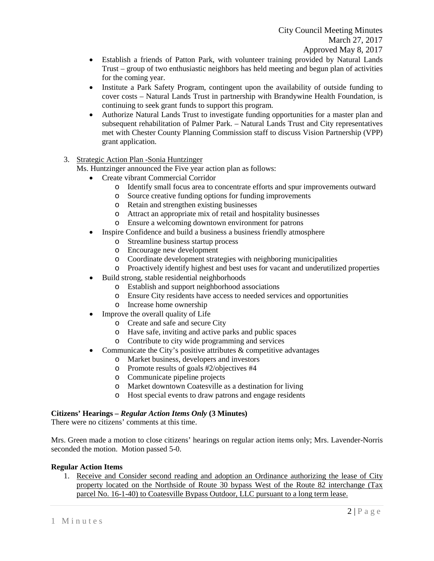- Establish a friends of Patton Park, with volunteer training provided by Natural Lands Trust – group of two enthusiastic neighbors has held meeting and begun plan of activities for the coming year.
- Institute a Park Safety Program, contingent upon the availability of outside funding to cover costs – Natural Lands Trust in partnership with Brandywine Health Foundation, is continuing to seek grant funds to support this program.
- Authorize Natural Lands Trust to investigate funding opportunities for a master plan and subsequent rehabilitation of Palmer Park. – Natural Lands Trust and City representatives met with Chester County Planning Commission staff to discuss Vision Partnership (VPP) grant application.
- 3. Strategic Action Plan -Sonia Huntzinger

Ms. Huntzinger announced the Five year action plan as follows:

- Create vibrant Commercial Corridor
	- o Identify small focus area to concentrate efforts and spur improvements outward
	- o Source creative funding options for funding improvements
	- o Retain and strengthen existing businesses<br>
	o Attract an appropriate mix of retail and ho
	- Attract an appropriate mix of retail and hospitality businesses
	- o Ensure a welcoming downtown environment for patrons
- Inspire Confidence and build a business a business friendly atmosphere
	- o Streamline business startup process
	- o Encourage new development
	- o Coordinate development strategies with neighboring municipalities
	- o Proactively identify highest and best uses for vacant and underutilized properties
- Build strong, stable residential neighborhoods
	- o Establish and support neighborhood associations
	- o Ensure City residents have access to needed services and opportunities
	- o Increase home ownership
- Improve the overall quality of Life
	- o Create and safe and secure City
	- o Have safe, inviting and active parks and public spaces
	- o Contribute to city wide programming and services
- Communicate the City's positive attributes  $\&$  competitive advantages
	- o Market business, developers and investors
	- o Promote results of goals #2/objectives #4
	- o Communicate pipeline projects
	- o Market downtown Coatesville as a destination for living
	- o Host special events to draw patrons and engage residents

# **Citizens' Hearings –** *Regular Action Items Only* **(3 Minutes)**

There were no citizens' comments at this time.

Mrs. Green made a motion to close citizens' hearings on regular action items only; Mrs. Lavender-Norris seconded the motion. Motion passed 5-0.

# **Regular Action Items**

1. Receive and Consider second reading and adoption an Ordinance authorizing the lease of City property located on the Northside of Route 30 bypass West of the Route 82 interchange (Tax parcel No. 16-1-40) to Coatesville Bypass Outdoor, LLC pursuant to a long term lease.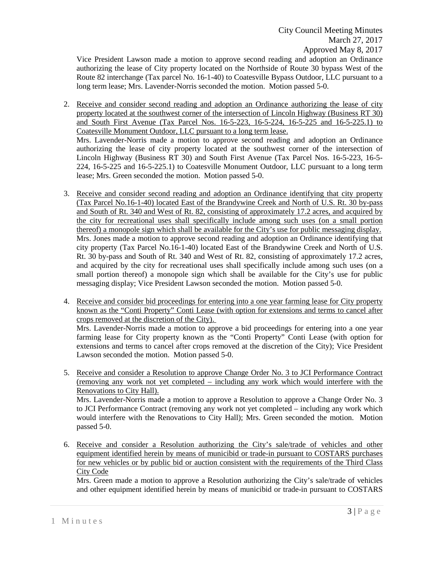Vice President Lawson made a motion to approve second reading and adoption an Ordinance authorizing the lease of City property located on the Northside of Route 30 bypass West of the Route 82 interchange (Tax parcel No. 16-1-40) to Coatesville Bypass Outdoor, LLC pursuant to a long term lease; Mrs. Lavender-Norris seconded the motion. Motion passed 5-0.

2. Receive and consider second reading and adoption an Ordinance authorizing the lease of city property located at the southwest corner of the intersection of Lincoln Highway (Business RT 30) and South First Avenue (Tax Parcel Nos. 16-5-223, 16-5-224, 16-5-225 and 16-5-225.1) to Coatesville Monument Outdoor, LLC pursuant to a long term lease.

Mrs. Lavender-Norris made a motion to approve second reading and adoption an Ordinance authorizing the lease of city property located at the southwest corner of the intersection of Lincoln Highway (Business RT 30) and South First Avenue (Tax Parcel Nos. 16-5-223, 16-5- 224, 16-5-225 and 16-5-225.1) to Coatesville Monument Outdoor, LLC pursuant to a long term lease; Mrs. Green seconded the motion. Motion passed 5-0.

- 3. Receive and consider second reading and adoption an Ordinance identifying that city property (Tax Parcel No.16-1-40) located East of the Brandywine Creek and North of U.S. Rt. 30 by-pass and South of Rt. 340 and West of Rt. 82, consisting of approximately 17.2 acres, and acquired by the city for recreational uses shall specifically include among such uses (on a small portion thereof) a monopole sign which shall be available for the City's use for public messaging display. Mrs. Jones made a motion to approve second reading and adoption an Ordinance identifying that city property (Tax Parcel No.16-1-40) located East of the Brandywine Creek and North of U.S. Rt. 30 by-pass and South of Rt. 340 and West of Rt. 82, consisting of approximately 17.2 acres, and acquired by the city for recreational uses shall specifically include among such uses (on a small portion thereof) a monopole sign which shall be available for the City's use for public messaging display; Vice President Lawson seconded the motion. Motion passed 5-0.
- 4. Receive and consider bid proceedings for entering into a one year farming lease for City property known as the "Conti Property" Conti Lease (with option for extensions and terms to cancel after crops removed at the discretion of the City).

Mrs. Lavender-Norris made a motion to approve a bid proceedings for entering into a one year farming lease for City property known as the "Conti Property" Conti Lease (with option for extensions and terms to cancel after crops removed at the discretion of the City); Vice President Lawson seconded the motion. Motion passed 5-0.

- 5. Receive and consider a Resolution to approve Change Order No. 3 to JCI Performance Contract (removing any work not yet completed – including any work which would interfere with the Renovations to City Hall). Mrs. Lavender-Norris made a motion to approve a Resolution to approve a Change Order No. 3 to JCI Performance Contract (removing any work not yet completed – including any work which would interfere with the Renovations to City Hall); Mrs. Green seconded the motion. Motion passed 5-0.
- 6. Receive and consider a Resolution authorizing the City's sale/trade of vehicles and other equipment identified herein by means of municibid or trade-in pursuant to COSTARS purchases for new vehicles or by public bid or auction consistent with the requirements of the Third Class City Code

Mrs. Green made a motion to approve a Resolution authorizing the City's sale/trade of vehicles and other equipment identified herein by means of municibid or trade-in pursuant to COSTARS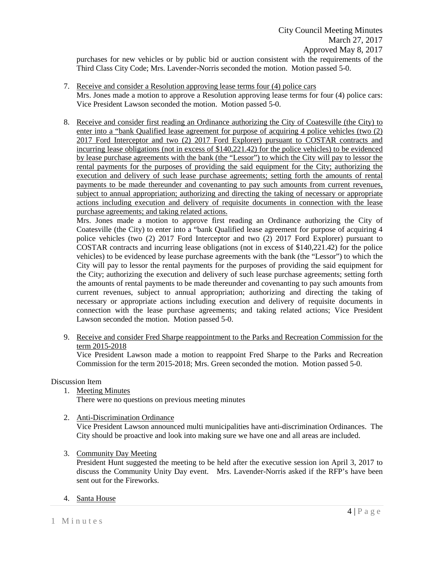purchases for new vehicles or by public bid or auction consistent with the requirements of the Third Class City Code; Mrs. Lavender-Norris seconded the motion. Motion passed 5-0.

- 7. Receive and consider a Resolution approving lease terms four (4) police cars Mrs. Jones made a motion to approve a Resolution approving lease terms for four (4) police cars: Vice President Lawson seconded the motion. Motion passed 5-0.
- 8. Receive and consider first reading an Ordinance authorizing the City of Coatesville (the City) to enter into a "bank Qualified lease agreement for purpose of acquiring 4 police vehicles (two (2) 2017 Ford Interceptor and two (2) 2017 Ford Explorer) pursuant to COSTAR contracts and incurring lease obligations (not in excess of  $$140,221.42$ ) for the police vehicles) to be evidenced by lease purchase agreements with the bank (the "Lessor") to which the City will pay to lessor the rental payments for the purposes of providing the said equipment for the City; authorizing the execution and delivery of such lease purchase agreements; setting forth the amounts of rental payments to be made thereunder and covenanting to pay such amounts from current revenues, subject to annual appropriation; authorizing and directing the taking of necessary or appropriate actions including execution and delivery of requisite documents in connection with the lease purchase agreements; and taking related actions.

Mrs. Jones made a motion to approve first reading an Ordinance authorizing the City of Coatesville (the City) to enter into a "bank Qualified lease agreement for purpose of acquiring 4 police vehicles (two (2) 2017 Ford Interceptor and two (2) 2017 Ford Explorer) pursuant to COSTAR contracts and incurring lease obligations (not in excess of \$140,221.42) for the police vehicles) to be evidenced by lease purchase agreements with the bank (the "Lessor") to which the City will pay to lessor the rental payments for the purposes of providing the said equipment for the City; authorizing the execution and delivery of such lease purchase agreements; setting forth the amounts of rental payments to be made thereunder and covenanting to pay such amounts from current revenues, subject to annual appropriation; authorizing and directing the taking of necessary or appropriate actions including execution and delivery of requisite documents in connection with the lease purchase agreements; and taking related actions; Vice President Lawson seconded the motion. Motion passed 5-0.

9. Receive and consider Fred Sharpe reappointment to the Parks and Recreation Commission for the term 2015-2018

Vice President Lawson made a motion to reappoint Fred Sharpe to the Parks and Recreation Commission for the term 2015-2018; Mrs. Green seconded the motion. Motion passed 5-0.

# Discussion Item

1. Meeting Minutes

There were no questions on previous meeting minutes

2. Anti-Discrimination Ordinance

Vice President Lawson announced multi municipalities have anti-discrimination Ordinances. The City should be proactive and look into making sure we have one and all areas are included.

3. Community Day Meeting

President Hunt suggested the meeting to be held after the executive session ion April 3, 2017 to discuss the Community Unity Day event. Mrs. Lavender-Norris asked if the RFP's have been sent out for the Fireworks.

# 4. Santa House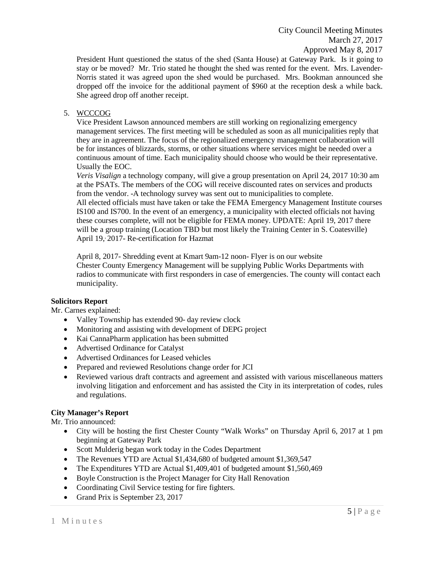City Council Meeting Minutes March 27, 2017 Approved May 8, 2017

President Hunt questioned the status of the shed (Santa House) at Gateway Park. Is it going to stay or be moved? Mr. Trio stated he thought the shed was rented for the event. Mrs. Lavender-Norris stated it was agreed upon the shed would be purchased. Mrs. Bookman announced she dropped off the invoice for the additional payment of \$960 at the reception desk a while back. She agreed drop off another receipt.

# 5. WCCCOG

Vice President Lawson announced members are still working on regionalizing emergency management services. The first meeting will be scheduled as soon as all municipalities reply that they are in agreement. The focus of the regionalized emergency management collaboration will be for instances of blizzards, storms, or other situations where services might be needed over a continuous amount of time. Each municipality should choose who would be their representative. Usually the EOC.

*Veris Visalign* a technology company, will give a group presentation on April 24, 2017 10:30 am at the PSATs. The members of the COG will receive discounted rates on services and products from the vendor. -A technology survey was sent out to municipalities to complete.

All elected officials must have taken or take the FEMA Emergency Management Institute courses IS100 and IS700. In the event of an emergency, a municipality with elected officials not having these courses complete, will not be eligible for FEMA money. UPDATE: April 19, 2017 there will be a group training (Location TBD but most likely the Training Center in S. Coatesville) April 19, 2017- Re-certification for Hazmat

April 8, 2017- Shredding event at Kmart 9am-12 noon- Flyer is on our website Chester County Emergency Management will be supplying Public Works Departments with radios to communicate with first responders in case of emergencies. The county will contact each municipality.

# **Solicitors Report**

Mr. Carnes explained:

- Valley Township has extended 90- day review clock
- Monitoring and assisting with development of DEPG project
- Kai CannaPharm application has been submitted
- Advertised Ordinance for Catalyst
- Advertised Ordinances for Leased vehicles
- Prepared and reviewed Resolutions change order for JCI
- Reviewed various draft contracts and agreement and assisted with various miscellaneous matters involving litigation and enforcement and has assisted the City in its interpretation of codes, rules and regulations.

# **City Manager's Report**

Mr. Trio announced:

- City will be hosting the first Chester County "Walk Works" on Thursday April 6, 2017 at 1 pm beginning at Gateway Park
- Scott Mulderig began work today in the Codes Department
- The Revenues YTD are Actual \$1,434,680 of budgeted amount \$1,369,547
- The Expenditures YTD are Actual \$1,409,401 of budgeted amount \$1,560,469
- Boyle Construction is the Project Manager for City Hall Renovation
- Coordinating Civil Service testing for fire fighters.
- Grand Prix is September 23, 2017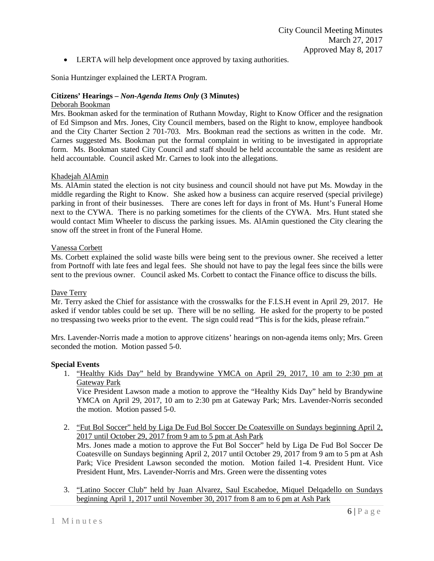• LERTA will help development once approved by taxing authorities.

Sonia Huntzinger explained the LERTA Program.

## **Citizens' Hearings –** *Non-Agenda Items Only* **(3 Minutes)**

#### Deborah Bookman

Mrs. Bookman asked for the termination of Ruthann Mowday, Right to Know Officer and the resignation of Ed Simpson and Mrs. Jones, City Council members, based on the Right to know, employee handbook and the City Charter Section 2 701-703. Mrs. Bookman read the sections as written in the code. Mr. Carnes suggested Ms. Bookman put the formal complaint in writing to be investigated in appropriate form. Ms. Bookman stated City Council and staff should be held accountable the same as resident are held accountable. Council asked Mr. Carnes to look into the allegations.

## Khadejah AlAmin

Ms. AlAmin stated the election is not city business and council should not have put Ms. Mowday in the middle regarding the Right to Know. She asked how a business can acquire reserved (special privilege) parking in front of their businesses. There are cones left for days in front of Ms. Hunt's Funeral Home next to the CYWA. There is no parking sometimes for the clients of the CYWA. Mrs. Hunt stated she would contact Mim Wheeler to discuss the parking issues. Ms. AlAmin questioned the City clearing the snow off the street in front of the Funeral Home.

## Vanessa Corbett

Ms. Corbett explained the solid waste bills were being sent to the previous owner. She received a letter from Portnoff with late fees and legal fees. She should not have to pay the legal fees since the bills were sent to the previous owner. Council asked Ms. Corbett to contact the Finance office to discuss the bills.

## Dave Terry

Mr. Terry asked the Chief for assistance with the crosswalks for the F.I.S.H event in April 29, 2017. He asked if vendor tables could be set up. There will be no selling. He asked for the property to be posted no trespassing two weeks prior to the event. The sign could read "This is for the kids, please refrain."

Mrs. Lavender-Norris made a motion to approve citizens' hearings on non-agenda items only; Mrs. Green seconded the motion. Motion passed 5-0.

#### **Special Events**

1. "Healthy Kids Day" held by Brandywine YMCA on April 29, 2017, 10 am to 2:30 pm at Gateway Park

Vice President Lawson made a motion to approve the "Healthy Kids Day" held by Brandywine YMCA on April 29, 2017, 10 am to 2:30 pm at Gateway Park; Mrs. Lavender-Norris seconded the motion. Motion passed 5-0.

2. "Fut Bol Soccer" held by Liga De Fud Bol Soccer De Coatesville on Sundays beginning April 2, 2017 until October 29, 2017 from 9 am to 5 pm at Ash Park

Mrs. Jones made a motion to approve the Fut Bol Soccer" held by Liga De Fud Bol Soccer De Coatesville on Sundays beginning April 2, 2017 until October 29, 2017 from 9 am to 5 pm at Ash Park; Vice President Lawson seconded the motion. Motion failed 1-4. President Hunt. Vice President Hunt, Mrs. Lavender-Norris and Mrs. Green were the dissenting votes

3. "Latino Soccer Club" held by Juan Alvarez, Saul Escabedoe, Miquel Delqadello on Sundays beginning April 1, 2017 until November 30, 2017 from 8 am to 6 pm at Ash Park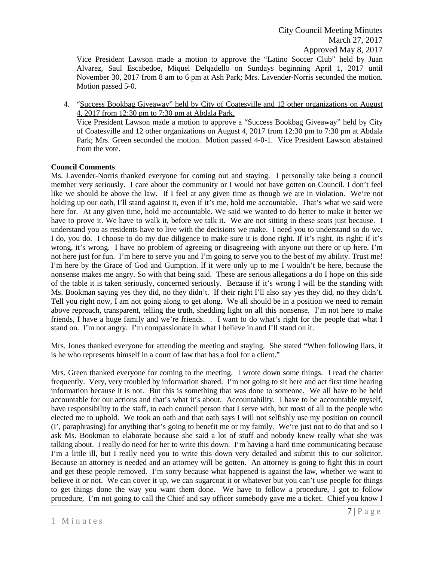Vice President Lawson made a motion to approve the "Latino Soccer Club" held by Juan Alvarez, Saul Escabedoe, Miquel Delqadello on Sundays beginning April 1, 2017 until November 30, 2017 from 8 am to 6 pm at Ash Park; Mrs. Lavender-Norris seconded the motion. Motion passed 5-0.

4. "Success Bookbag Giveaway" held by City of Coatesville and 12 other organizations on August 4, 2017 from 12:30 pm to 7:30 pm at Abdala Park. Vice President Lawson made a motion to approve a "Success Bookbag Giveaway" held by City of Coatesville and 12 other organizations on August 4, 2017 from 12:30 pm to 7:30 pm at Abdala Park; Mrs. Green seconded the motion. Motion passed 4-0-1. Vice President Lawson abstained from the vote.

# **Council Comments**

Ms. Lavender-Norris thanked everyone for coming out and staying. I personally take being a council member very seriously. I care about the community or I would not have gotten on Council. I don't feel like we should be above the law. If I feel at any given time as though we are in violation. We're not holding up our oath, I'll stand against it, even if it's me, hold me accountable. That's what we said were here for. At any given time, hold me accountable. We said we wanted to do better to make it better we have to prove it. We have to walk it, before we talk it. We are not sitting in these seats just because. I understand you as residents have to live with the decisions we make. I need you to understand so do we. I do, you do. I choose to do my due diligence to make sure it is done right. If it's right, its right; if it's wrong, it's wrong. I have no problem of agreeing or disagreeing with anyone out there or up here. I'm not here just for fun. I'm here to serve you and I'm going to serve you to the best of my ability. Trust me! I'm here by the Grace of God and Gumption. If it were only up to me I wouldn't be here, because the nonsense makes me angry. So with that being said. These are serious allegations a do I hope on this side of the table it is taken seriously, concerned seriously. Because if it's wrong I will be the standing with Ms. Bookman saying yes they did, no they didn't. If their right I'll also say yes they did, no they didn't. Tell you right now, I am not going along to get along. We all should be in a position we need to remain above reproach, transparent, telling the truth, shedding light on all this nonsense. I'm not here to make friends, I have a huge family and we're friends. . I want to do what's right for the people that what I stand on. I'm not angry. I'm compassionate in what I believe in and I'll stand on it.

Mrs. Jones thanked everyone for attending the meeting and staying. She stated "When following liars, it is he who represents himself in a court of law that has a fool for a client."

Mrs. Green thanked everyone for coming to the meeting. I wrote down some things. I read the charter frequently. Very, very troubled by information shared. I'm not going to sit here and act first time hearing information because it is not. But this is something that was done to someone. We all have to be held accountable for our actions and that's what it's about. Accountability. I have to be accountable myself, have responsibility to the staff, to each council person that I serve with, but most of all to the people who elected me to uphold. We took an oath and that oath says I will not selfishly use my position on council (I', paraphrasing) for anything that's going to benefit me or my family. We're just not to do that and so I ask Ms. Bookman to elaborate because she said a lot of stuff and nobody knew really what she was talking about. I really do need for her to write this down. I'm having a hard time communicating because I'm a little ill, but I really need you to write this down very detailed and submit this to our solicitor. Because an attorney is needed and an attorney will be gotten. An attorney is going to fight this in court and get these people removed. I'm sorry because what happened is against the law, whether we want to believe it or not. We can cover it up, we can sugarcoat it or whatever but you can't use people for things to get things done the way you want them done. We have to follow a procedure, I got to follow procedure, I'm not going to call the Chief and say officer somebody gave me a ticket. Chief you know I